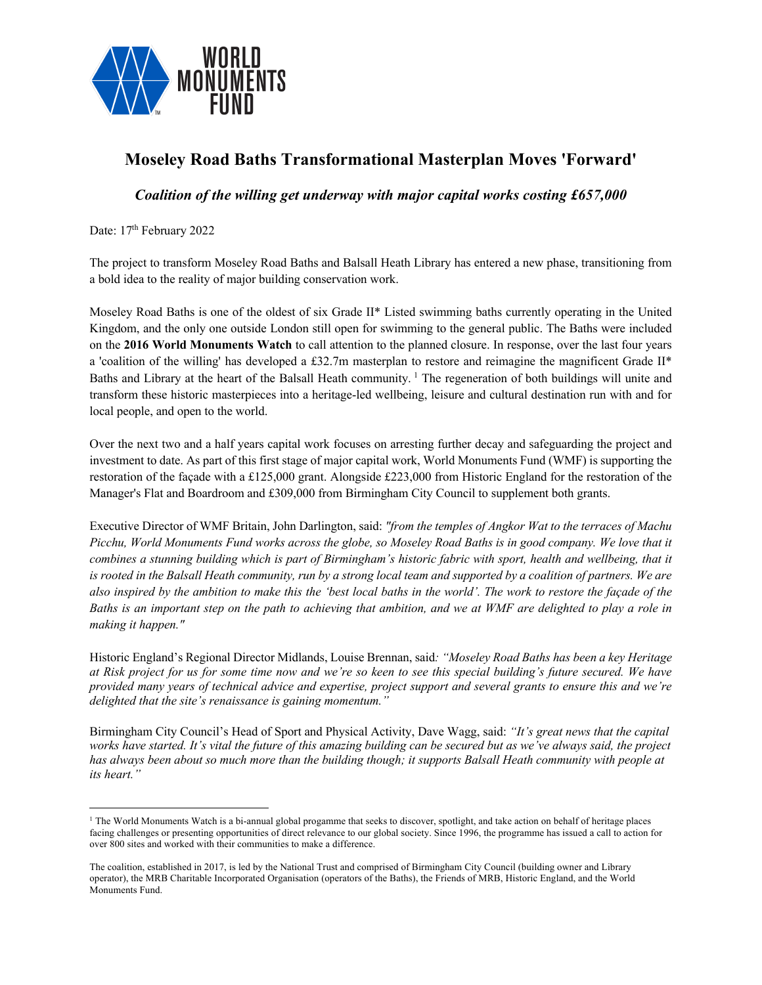

## **Moseley Road Baths Transformational Masterplan Moves 'Forward'**

*Coalition of the willing get underway with major capital works costing £657,000*

Date: 17<sup>th</sup> February 2022

The project to transform Moseley Road Baths and Balsall Heath Library has entered a new phase, transitioning from a bold idea to the reality of major building conservation work.

Moseley Road Baths is one of the oldest of six Grade II\* Listed swimming baths currently operating in the United Kingdom, and the only one outside London still open for swimming to the general public. The Baths were included on the **2016 World Monuments Watch** to call attention to the planned closure. In response, over the last four years a 'coalition of the willing' has developed a £32.7m masterplan to restore and reimagine the magnificent Grade II\* Baths and Library at the heart of the Balsall Heath community.  $\frac{1}{1}$  The regeneration of both buildings will unite and transform these historic masterpieces into a heritage-led wellbeing, leisure and cultural destination run with and for local people, and open to the world.

Over the next two and a half years capital work focuses on arresting further decay and safeguarding the project and investment to date. As part of this first stage of major capital work, World Monuments Fund (WMF) is supporting the restoration of the façade with a £125,000 grant. Alongside £223,000 from Historic England for the restoration of the Manager's Flat and Boardroom and £309,000 from Birmingham City Council to supplement both grants.

Executive Director of WMF Britain, John Darlington, said: *"from the temples of Angkor Wat to the terraces of Machu Picchu, World Monuments Fund works across the globe, so Moseley Road Baths is in good company. We love that it combines a stunning building which is part of Birmingham's historic fabric with sport, health and wellbeing, that it is rooted in the Balsall Heath community, run by a strong local team and supported by a coalition of partners. We are also inspired by the ambition to make this the 'best local baths in the world'. The work to restore the façade of the Baths is an important step on the path to achieving that ambition, and we at WMF are delighted to play a role in making it happen."*

Historic England's Regional Director Midlands, Louise Brennan, said*: "Moseley Road Baths has been a key Heritage at Risk project for us for some time now and we're so keen to see this special building's future secured. We have provided many years of technical advice and expertise, project support and several grants to ensure this and we're delighted that the site's renaissance is gaining momentum."*

Birmingham City Council's Head of Sport and Physical Activity, Dave Wagg, said: *"It's great news that the capital works have started. It's vital the future of this amazing building can be secured but as we've always said, the project has always been about so much more than the building though; it supports Balsall Heath community with people at its heart."*

<sup>&</sup>lt;sup>1</sup> The World Monuments Watch is a bi-annual global progamme that seeks to discover, spotlight, and take action on behalf of heritage places facing challenges or presenting opportunities of direct relevance to our global society. Since 1996, the programme has issued a call to action for over 800 sites and worked with their communities to make a difference.

The coalition, established in 2017, is led by the National Trust and comprised of Birmingham City Council (building owner and Library operator), the MRB Charitable Incorporated Organisation (operators of the Baths), the Friends of MRB, Historic England, and the World Monuments Fund.